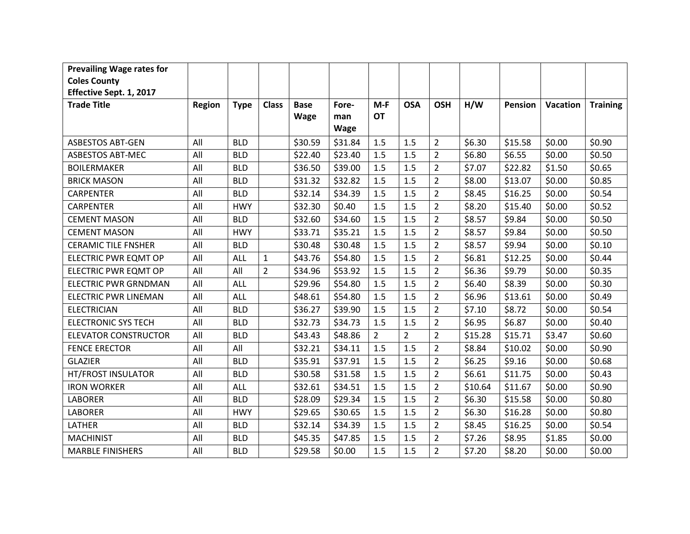| <b>Prevailing Wage rates for</b> |               |             |                |             |         |                |                |                |         |         |          |                 |
|----------------------------------|---------------|-------------|----------------|-------------|---------|----------------|----------------|----------------|---------|---------|----------|-----------------|
| <b>Coles County</b>              |               |             |                |             |         |                |                |                |         |         |          |                 |
| Effective Sept. 1, 2017          |               |             |                |             |         |                |                |                |         |         |          |                 |
| <b>Trade Title</b>               | <b>Region</b> | <b>Type</b> | <b>Class</b>   | <b>Base</b> | Fore-   | $M-F$          | <b>OSA</b>     | <b>OSH</b>     | H/W     | Pension | Vacation | <b>Training</b> |
|                                  |               |             |                | <b>Wage</b> | man     | <b>OT</b>      |                |                |         |         |          |                 |
|                                  |               |             |                |             | Wage    |                |                |                |         |         |          |                 |
| <b>ASBESTOS ABT-GEN</b>          | All           | <b>BLD</b>  |                | \$30.59     | \$31.84 | 1.5            | 1.5            | $\overline{2}$ | \$6.30  | \$15.58 | \$0.00   | \$0.90          |
| <b>ASBESTOS ABT-MEC</b>          | All           | <b>BLD</b>  |                | \$22.40     | \$23.40 | 1.5            | 1.5            | $\overline{2}$ | \$6.80  | \$6.55  | \$0.00   | \$0.50          |
| <b>BOILERMAKER</b>               | All           | <b>BLD</b>  |                | \$36.50     | \$39.00 | 1.5            | 1.5            | $\overline{2}$ | \$7.07  | \$22.82 | \$1.50   | \$0.65          |
| <b>BRICK MASON</b>               | All           | <b>BLD</b>  |                | \$31.32     | \$32.82 | 1.5            | 1.5            | $\overline{2}$ | \$8.00  | \$13.07 | \$0.00   | \$0.85          |
| <b>CARPENTER</b>                 | All           | <b>BLD</b>  |                | \$32.14     | \$34.39 | 1.5            | 1.5            | $\overline{2}$ | \$8.45  | \$16.25 | \$0.00   | \$0.54          |
| <b>CARPENTER</b>                 | All           | <b>HWY</b>  |                | \$32.30     | \$0.40  | 1.5            | 1.5            | $\overline{2}$ | \$8.20  | \$15.40 | \$0.00   | \$0.52          |
| <b>CEMENT MASON</b>              | All           | <b>BLD</b>  |                | \$32.60     | \$34.60 | 1.5            | 1.5            | $\overline{2}$ | \$8.57  | \$9.84  | \$0.00   | \$0.50          |
| <b>CEMENT MASON</b>              | All           | <b>HWY</b>  |                | \$33.71     | \$35.21 | 1.5            | 1.5            | $\overline{2}$ | \$8.57  | \$9.84  | \$0.00   | \$0.50          |
| <b>CERAMIC TILE FNSHER</b>       | All           | <b>BLD</b>  |                | \$30.48     | \$30.48 | 1.5            | 1.5            | $\overline{2}$ | \$8.57  | \$9.94  | \$0.00   | \$0.10          |
| ELECTRIC PWR EQMT OP             | All           | ALL         | $\mathbf{1}$   | \$43.76     | \$54.80 | 1.5            | 1.5            | $\overline{2}$ | \$6.81  | \$12.25 | \$0.00   | \$0.44          |
| ELECTRIC PWR EQMT OP             | All           | All         | $\overline{2}$ | \$34.96     | \$53.92 | 1.5            | 1.5            | $\overline{2}$ | \$6.36  | \$9.79  | \$0.00   | \$0.35          |
| ELECTRIC PWR GRNDMAN             | All           | <b>ALL</b>  |                | \$29.96     | \$54.80 | 1.5            | 1.5            | $\overline{2}$ | \$6.40  | \$8.39  | \$0.00   | \$0.30          |
| <b>ELECTRIC PWR LINEMAN</b>      | All           | ALL         |                | \$48.61     | \$54.80 | 1.5            | 1.5            | $\overline{2}$ | \$6.96  | \$13.61 | \$0.00   | \$0.49          |
| <b>ELECTRICIAN</b>               | All           | <b>BLD</b>  |                | \$36.27     | \$39.90 | 1.5            | 1.5            | $\overline{2}$ | \$7.10  | \$8.72  | \$0.00   | \$0.54          |
| <b>ELECTRONIC SYS TECH</b>       | All           | <b>BLD</b>  |                | \$32.73     | \$34.73 | 1.5            | 1.5            | $\overline{2}$ | \$6.95  | \$6.87  | \$0.00   | \$0.40          |
| <b>ELEVATOR CONSTRUCTOR</b>      | All           | <b>BLD</b>  |                | \$43.43     | \$48.86 | $\overline{2}$ | $\overline{2}$ | $\overline{2}$ | \$15.28 | \$15.71 | \$3.47   | \$0.60          |
| <b>FENCE ERECTOR</b>             | All           | All         |                | \$32.21     | \$34.11 | 1.5            | 1.5            | $\overline{2}$ | \$8.84  | \$10.02 | \$0.00   | \$0.90          |
| <b>GLAZIER</b>                   | All           | <b>BLD</b>  |                | \$35.91     | \$37.91 | 1.5            | 1.5            | $\overline{2}$ | \$6.25  | \$9.16  | \$0.00   | \$0.68          |
| HT/FROST INSULATOR               | All           | <b>BLD</b>  |                | \$30.58     | \$31.58 | 1.5            | 1.5            | $\overline{2}$ | \$6.61  | \$11.75 | \$0.00   | \$0.43          |
| <b>IRON WORKER</b>               | All           | ALL         |                | \$32.61     | \$34.51 | 1.5            | 1.5            | $\overline{2}$ | \$10.64 | \$11.67 | \$0.00   | \$0.90          |
| <b>LABORER</b>                   | All           | <b>BLD</b>  |                | \$28.09     | \$29.34 | 1.5            | 1.5            | $\overline{2}$ | \$6.30  | \$15.58 | \$0.00   | \$0.80          |
| <b>LABORER</b>                   | All           | <b>HWY</b>  |                | \$29.65     | \$30.65 | 1.5            | 1.5            | $\overline{2}$ | \$6.30  | \$16.28 | \$0.00   | \$0.80          |
| LATHER                           | All           | <b>BLD</b>  |                | \$32.14     | \$34.39 | 1.5            | 1.5            | $\overline{2}$ | \$8.45  | \$16.25 | \$0.00   | \$0.54          |
| <b>MACHINIST</b>                 | All           | <b>BLD</b>  |                | \$45.35     | \$47.85 | 1.5            | 1.5            | $\overline{2}$ | \$7.26  | \$8.95  | \$1.85   | \$0.00          |
| <b>MARBLE FINISHERS</b>          | All           | <b>BLD</b>  |                | \$29.58     | \$0.00  | 1.5            | 1.5            | $\overline{2}$ | \$7.20  | \$8.20  | \$0.00   | \$0.00          |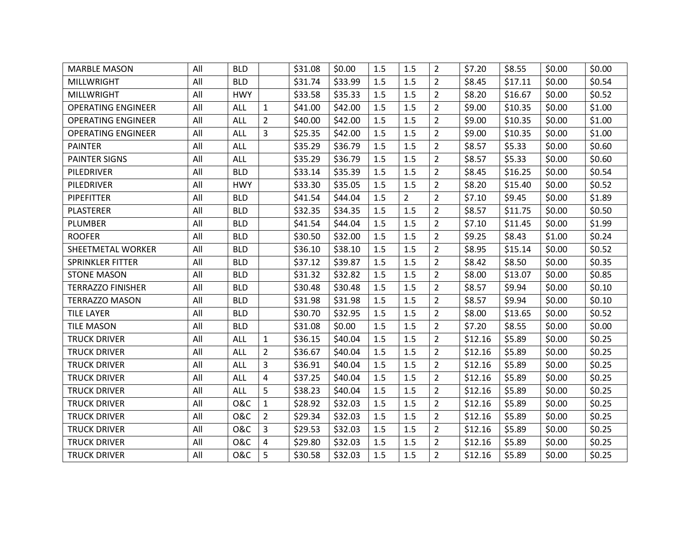| <b>MARBLE MASON</b>       | All | <b>BLD</b>     |                | \$31.08 | \$0.00  | 1.5 | 1.5            | $\overline{2}$ | \$7.20  | \$8.55  | \$0.00 | \$0.00 |
|---------------------------|-----|----------------|----------------|---------|---------|-----|----------------|----------------|---------|---------|--------|--------|
| <b>MILLWRIGHT</b>         | All | <b>BLD</b>     |                | \$31.74 | \$33.99 | 1.5 | 1.5            | $\overline{2}$ | \$8.45  | \$17.11 | \$0.00 | \$0.54 |
| <b>MILLWRIGHT</b>         | All | <b>HWY</b>     |                | \$33.58 | \$35.33 | 1.5 | 1.5            | $\overline{2}$ | \$8.20  | \$16.67 | \$0.00 | \$0.52 |
| <b>OPERATING ENGINEER</b> | All | <b>ALL</b>     | $\mathbf{1}$   | \$41.00 | \$42.00 | 1.5 | 1.5            | $\overline{2}$ | \$9.00  | \$10.35 | \$0.00 | \$1.00 |
| <b>OPERATING ENGINEER</b> | All | <b>ALL</b>     | $\overline{2}$ | \$40.00 | \$42.00 | 1.5 | 1.5            | $\overline{2}$ | \$9.00  | \$10.35 | \$0.00 | \$1.00 |
| <b>OPERATING ENGINEER</b> | All | <b>ALL</b>     | 3              | \$25.35 | \$42.00 | 1.5 | 1.5            | $\overline{2}$ | \$9.00  | \$10.35 | \$0.00 | \$1.00 |
| <b>PAINTER</b>            | All | <b>ALL</b>     |                | \$35.29 | \$36.79 | 1.5 | 1.5            | $\overline{2}$ | \$8.57  | \$5.33  | \$0.00 | \$0.60 |
| <b>PAINTER SIGNS</b>      | All | <b>ALL</b>     |                | \$35.29 | \$36.79 | 1.5 | 1.5            | $\overline{2}$ | \$8.57  | \$5.33  | \$0.00 | \$0.60 |
| PILEDRIVER                | All | <b>BLD</b>     |                | \$33.14 | \$35.39 | 1.5 | 1.5            | $\overline{2}$ | \$8.45  | \$16.25 | \$0.00 | \$0.54 |
| PILEDRIVER                | All | <b>HWY</b>     |                | \$33.30 | \$35.05 | 1.5 | 1.5            | $\overline{2}$ | \$8.20  | \$15.40 | \$0.00 | \$0.52 |
| <b>PIPEFITTER</b>         | All | <b>BLD</b>     |                | \$41.54 | \$44.04 | 1.5 | $\overline{2}$ | $\overline{2}$ | \$7.10  | \$9.45  | \$0.00 | \$1.89 |
| <b>PLASTERER</b>          | All | <b>BLD</b>     |                | \$32.35 | \$34.35 | 1.5 | 1.5            | $\overline{2}$ | \$8.57  | \$11.75 | \$0.00 | \$0.50 |
| <b>PLUMBER</b>            | All | <b>BLD</b>     |                | \$41.54 | \$44.04 | 1.5 | 1.5            | $\overline{2}$ | \$7.10  | \$11.45 | \$0.00 | \$1.99 |
| <b>ROOFER</b>             | All | <b>BLD</b>     |                | \$30.50 | \$32.00 | 1.5 | 1.5            | $\overline{2}$ | \$9.25  | \$8.43  | \$1.00 | \$0.24 |
| SHEETMETAL WORKER         | All | <b>BLD</b>     |                | \$36.10 | \$38.10 | 1.5 | 1.5            | $\overline{2}$ | \$8.95  | \$15.14 | \$0.00 | \$0.52 |
| <b>SPRINKLER FITTER</b>   | All | <b>BLD</b>     |                | \$37.12 | \$39.87 | 1.5 | 1.5            | $\overline{2}$ | \$8.42  | \$8.50  | \$0.00 | \$0.35 |
| <b>STONE MASON</b>        | All | <b>BLD</b>     |                | \$31.32 | \$32.82 | 1.5 | 1.5            | $\overline{2}$ | \$8.00  | \$13.07 | \$0.00 | \$0.85 |
| <b>TERRAZZO FINISHER</b>  | All | <b>BLD</b>     |                | \$30.48 | \$30.48 | 1.5 | 1.5            | $\overline{2}$ | \$8.57  | \$9.94  | \$0.00 | \$0.10 |
| <b>TERRAZZO MASON</b>     | All | <b>BLD</b>     |                | \$31.98 | \$31.98 | 1.5 | 1.5            | $\overline{2}$ | \$8.57  | \$9.94  | \$0.00 | \$0.10 |
| <b>TILE LAYER</b>         | All | <b>BLD</b>     |                | \$30.70 | \$32.95 | 1.5 | 1.5            | $\overline{2}$ | \$8.00  | \$13.65 | \$0.00 | \$0.52 |
| <b>TILE MASON</b>         | All | <b>BLD</b>     |                | \$31.08 | \$0.00  | 1.5 | 1.5            | $\overline{2}$ | \$7.20  | \$8.55  | \$0.00 | \$0.00 |
| <b>TRUCK DRIVER</b>       | All | <b>ALL</b>     | $\mathbf{1}$   | \$36.15 | \$40.04 | 1.5 | 1.5            | $\overline{2}$ | \$12.16 | \$5.89  | \$0.00 | \$0.25 |
| <b>TRUCK DRIVER</b>       | All | <b>ALL</b>     | $\overline{2}$ | \$36.67 | \$40.04 | 1.5 | 1.5            | $\overline{2}$ | \$12.16 | \$5.89  | \$0.00 | \$0.25 |
| <b>TRUCK DRIVER</b>       | All | <b>ALL</b>     | 3              | \$36.91 | \$40.04 | 1.5 | 1.5            | $\overline{2}$ | \$12.16 | \$5.89  | \$0.00 | \$0.25 |
| <b>TRUCK DRIVER</b>       | All | <b>ALL</b>     | 4              | \$37.25 | \$40.04 | 1.5 | 1.5            | $\overline{2}$ | \$12.16 | \$5.89  | \$0.00 | \$0.25 |
| <b>TRUCK DRIVER</b>       | All | <b>ALL</b>     | 5              | \$38.23 | \$40.04 | 1.5 | 1.5            | $\overline{2}$ | \$12.16 | \$5.89  | \$0.00 | \$0.25 |
| <b>TRUCK DRIVER</b>       | All | <b>O&amp;C</b> | $\mathbf{1}$   | \$28.92 | \$32.03 | 1.5 | 1.5            | $\overline{2}$ | \$12.16 | \$5.89  | \$0.00 | \$0.25 |
| <b>TRUCK DRIVER</b>       | All | <b>O&amp;C</b> | $\overline{2}$ | \$29.34 | \$32.03 | 1.5 | 1.5            | $\overline{2}$ | \$12.16 | \$5.89  | \$0.00 | \$0.25 |
| <b>TRUCK DRIVER</b>       | All | <b>O&amp;C</b> | 3              | \$29.53 | \$32.03 | 1.5 | 1.5            | $\overline{2}$ | \$12.16 | \$5.89  | \$0.00 | \$0.25 |
| <b>TRUCK DRIVER</b>       | All | <b>O&amp;C</b> | 4              | \$29.80 | \$32.03 | 1.5 | 1.5            | $\overline{2}$ | \$12.16 | \$5.89  | \$0.00 | \$0.25 |
| <b>TRUCK DRIVER</b>       | All | O&C            | 5              | \$30.58 | \$32.03 | 1.5 | 1.5            | $\overline{2}$ | \$12.16 | \$5.89  | \$0.00 | \$0.25 |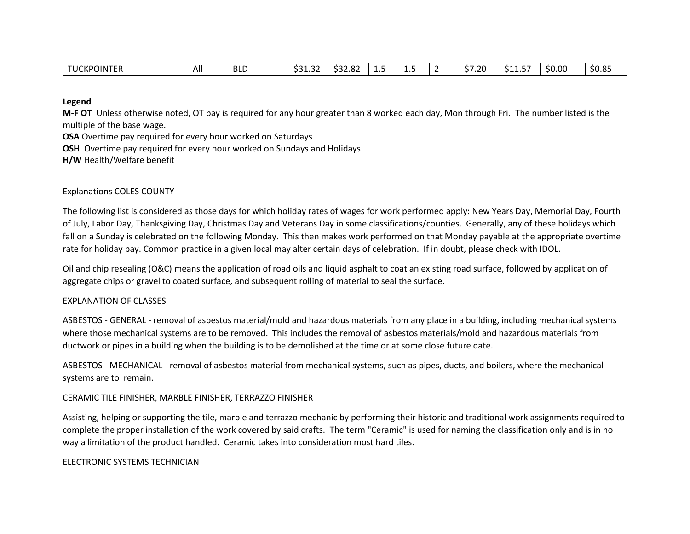| JU.<br>∴KP∩<br>OINTER | All | -BLL |  | $\sim$<br>$\sim$ $\sim$<br>. .<br><b>JJ1.JZ</b> | $\sim$<br>ےہ۔ ےככ | --- | --- |  | ີ 20<br>--<br>--- | $- -$<br><u>JJ</u><br>. | \$0.00 | <b>CO 25</b><br>SU.85 |
|-----------------------|-----|------|--|-------------------------------------------------|-------------------|-----|-----|--|-------------------|-------------------------|--------|-----------------------|
|-----------------------|-----|------|--|-------------------------------------------------|-------------------|-----|-----|--|-------------------|-------------------------|--------|-----------------------|

## **Legend**

**M-F OT** Unless otherwise noted, OT pay is required for any hour greater than 8 worked each day, Mon through Fri. The number listed is the multiple of the base wage.

**OSA** Overtime pay required for every hour worked on Saturdays

**OSH** Overtime pay required for every hour worked on Sundays and Holidays

**H/W** Health/Welfare benefit

## Explanations COLES COUNTY

The following list is considered as those days for which holiday rates of wages for work performed apply: New Years Day, Memorial Day, Fourth of July, Labor Day, Thanksgiving Day, Christmas Day and Veterans Day in some classifications/counties. Generally, any of these holidays which fall on a Sunday is celebrated on the following Monday. This then makes work performed on that Monday payable at the appropriate overtime rate for holiday pay. Common practice in a given local may alter certain days of celebration. If in doubt, please check with IDOL.

Oil and chip resealing (O&C) means the application of road oils and liquid asphalt to coat an existing road surface, followed by application of aggregate chips or gravel to coated surface, and subsequent rolling of material to seal the surface.

# EXPLANATION OF CLASSES

ASBESTOS - GENERAL - removal of asbestos material/mold and hazardous materials from any place in a building, including mechanical systems where those mechanical systems are to be removed. This includes the removal of asbestos materials/mold and hazardous materials from ductwork or pipes in a building when the building is to be demolished at the time or at some close future date.

ASBESTOS - MECHANICAL - removal of asbestos material from mechanical systems, such as pipes, ducts, and boilers, where the mechanical systems are to remain.

#### CERAMIC TILE FINISHER, MARBLE FINISHER, TERRAZZO FINISHER

Assisting, helping or supporting the tile, marble and terrazzo mechanic by performing their historic and traditional work assignments required to complete the proper installation of the work covered by said crafts. The term "Ceramic" is used for naming the classification only and is in no way a limitation of the product handled. Ceramic takes into consideration most hard tiles.

#### ELECTRONIC SYSTEMS TECHNICIAN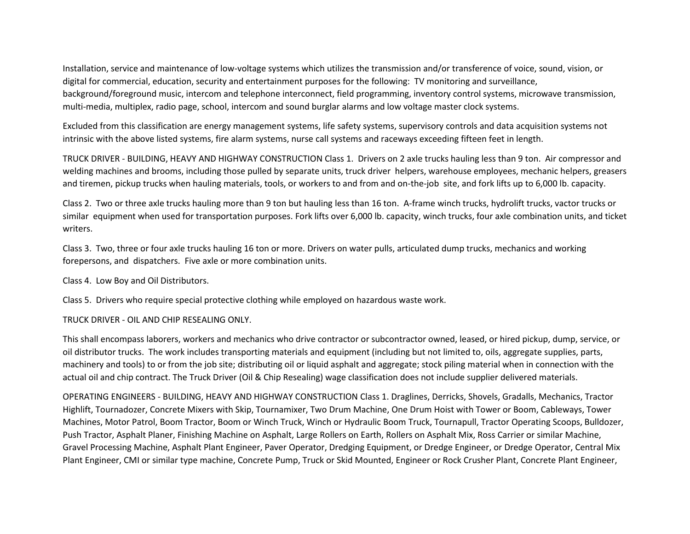Installation, service and maintenance of low-voltage systems which utilizes the transmission and/or transference of voice, sound, vision, or digital for commercial, education, security and entertainment purposes for the following: TV monitoring and surveillance, background/foreground music, intercom and telephone interconnect, field programming, inventory control systems, microwave transmission, multi-media, multiplex, radio page, school, intercom and sound burglar alarms and low voltage master clock systems.

Excluded from this classification are energy management systems, life safety systems, supervisory controls and data acquisition systems not intrinsic with the above listed systems, fire alarm systems, nurse call systems and raceways exceeding fifteen feet in length.

TRUCK DRIVER - BUILDING, HEAVY AND HIGHWAY CONSTRUCTION Class 1. Drivers on 2 axle trucks hauling less than 9 ton. Air compressor and welding machines and brooms, including those pulled by separate units, truck driver helpers, warehouse employees, mechanic helpers, greasers and tiremen, pickup trucks when hauling materials, tools, or workers to and from and on-the-job site, and fork lifts up to 6,000 lb. capacity.

Class 2. Two or three axle trucks hauling more than 9 ton but hauling less than 16 ton. A-frame winch trucks, hydrolift trucks, vactor trucks or similar equipment when used for transportation purposes. Fork lifts over 6,000 lb. capacity, winch trucks, four axle combination units, and ticket writers.

Class 3. Two, three or four axle trucks hauling 16 ton or more. Drivers on water pulls, articulated dump trucks, mechanics and working forepersons, and dispatchers. Five axle or more combination units.

Class 4. Low Boy and Oil Distributors.

Class 5. Drivers who require special protective clothing while employed on hazardous waste work.

TRUCK DRIVER - OIL AND CHIP RESEALING ONLY.

This shall encompass laborers, workers and mechanics who drive contractor or subcontractor owned, leased, or hired pickup, dump, service, or oil distributor trucks. The work includes transporting materials and equipment (including but not limited to, oils, aggregate supplies, parts, machinery and tools) to or from the job site; distributing oil or liquid asphalt and aggregate; stock piling material when in connection with the actual oil and chip contract. The Truck Driver (Oil & Chip Resealing) wage classification does not include supplier delivered materials.

OPERATING ENGINEERS - BUILDING, HEAVY AND HIGHWAY CONSTRUCTION Class 1. Draglines, Derricks, Shovels, Gradalls, Mechanics, Tractor Highlift, Tournadozer, Concrete Mixers with Skip, Tournamixer, Two Drum Machine, One Drum Hoist with Tower or Boom, Cableways, Tower Machines, Motor Patrol, Boom Tractor, Boom or Winch Truck, Winch or Hydraulic Boom Truck, Tournapull, Tractor Operating Scoops, Bulldozer, Push Tractor, Asphalt Planer, Finishing Machine on Asphalt, Large Rollers on Earth, Rollers on Asphalt Mix, Ross Carrier or similar Machine, Gravel Processing Machine, Asphalt Plant Engineer, Paver Operator, Dredging Equipment, or Dredge Engineer, or Dredge Operator, Central Mix Plant Engineer, CMI or similar type machine, Concrete Pump, Truck or Skid Mounted, Engineer or Rock Crusher Plant, Concrete Plant Engineer,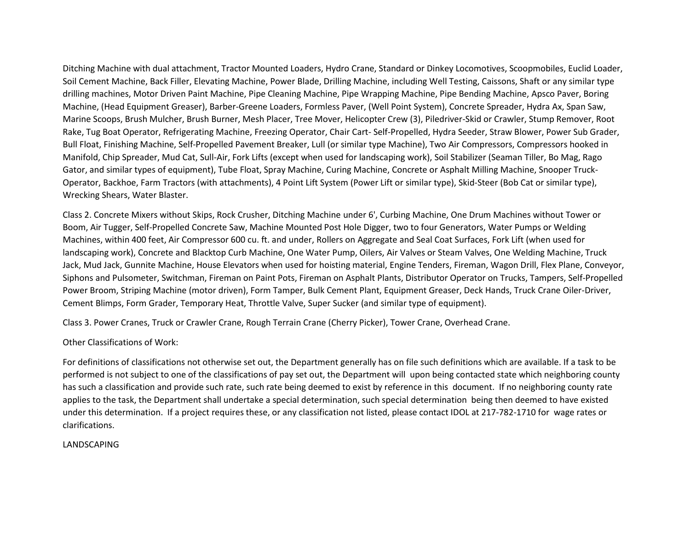Ditching Machine with dual attachment, Tractor Mounted Loaders, Hydro Crane, Standard or Dinkey Locomotives, Scoopmobiles, Euclid Loader, Soil Cement Machine, Back Filler, Elevating Machine, Power Blade, Drilling Machine, including Well Testing, Caissons, Shaft or any similar type drilling machines, Motor Driven Paint Machine, Pipe Cleaning Machine, Pipe Wrapping Machine, Pipe Bending Machine, Apsco Paver, Boring Machine, (Head Equipment Greaser), Barber-Greene Loaders, Formless Paver, (Well Point System), Concrete Spreader, Hydra Ax, Span Saw, Marine Scoops, Brush Mulcher, Brush Burner, Mesh Placer, Tree Mover, Helicopter Crew (3), Piledriver-Skid or Crawler, Stump Remover, Root Rake, Tug Boat Operator, Refrigerating Machine, Freezing Operator, Chair Cart- Self-Propelled, Hydra Seeder, Straw Blower, Power Sub Grader, Bull Float, Finishing Machine, Self-Propelled Pavement Breaker, Lull (or similar type Machine), Two Air Compressors, Compressors hooked in Manifold, Chip Spreader, Mud Cat, Sull-Air, Fork Lifts (except when used for landscaping work), Soil Stabilizer (Seaman Tiller, Bo Mag, Rago Gator, and similar types of equipment), Tube Float, Spray Machine, Curing Machine, Concrete or Asphalt Milling Machine, Snooper Truck-Operator, Backhoe, Farm Tractors (with attachments), 4 Point Lift System (Power Lift or similar type), Skid-Steer (Bob Cat or similar type), Wrecking Shears, Water Blaster.

Class 2. Concrete Mixers without Skips, Rock Crusher, Ditching Machine under 6', Curbing Machine, One Drum Machines without Tower or Boom, Air Tugger, Self-Propelled Concrete Saw, Machine Mounted Post Hole Digger, two to four Generators, Water Pumps or Welding Machines, within 400 feet, Air Compressor 600 cu. ft. and under, Rollers on Aggregate and Seal Coat Surfaces, Fork Lift (when used for landscaping work), Concrete and Blacktop Curb Machine, One Water Pump, Oilers, Air Valves or Steam Valves, One Welding Machine, Truck Jack, Mud Jack, Gunnite Machine, House Elevators when used for hoisting material, Engine Tenders, Fireman, Wagon Drill, Flex Plane, Conveyor, Siphons and Pulsometer, Switchman, Fireman on Paint Pots, Fireman on Asphalt Plants, Distributor Operator on Trucks, Tampers, Self-Propelled Power Broom, Striping Machine (motor driven), Form Tamper, Bulk Cement Plant, Equipment Greaser, Deck Hands, Truck Crane Oiler-Driver, Cement Blimps, Form Grader, Temporary Heat, Throttle Valve, Super Sucker (and similar type of equipment).

Class 3. Power Cranes, Truck or Crawler Crane, Rough Terrain Crane (Cherry Picker), Tower Crane, Overhead Crane.

Other Classifications of Work:

For definitions of classifications not otherwise set out, the Department generally has on file such definitions which are available. If a task to be performed is not subject to one of the classifications of pay set out, the Department will upon being contacted state which neighboring county has such a classification and provide such rate, such rate being deemed to exist by reference in this document. If no neighboring county rate applies to the task, the Department shall undertake a special determination, such special determination being then deemed to have existed under this determination. If a project requires these, or any classification not listed, please contact IDOL at 217-782-1710 for wage rates or clarifications.

# LANDSCAPING